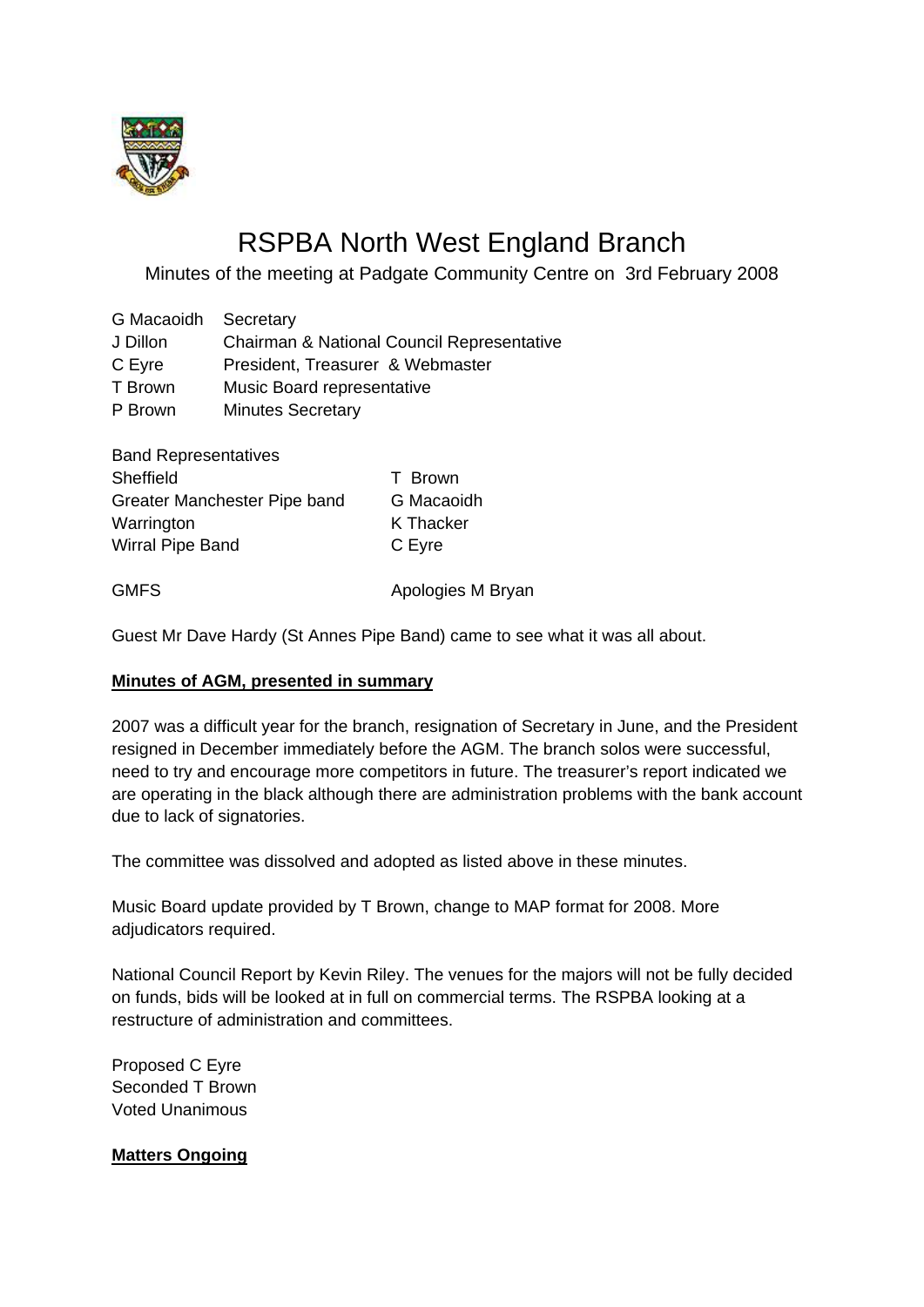

# RSPBA North West England Branch

Minutes of the meeting at Padgate Community Centre on 3rd February 2008

G Macaoidh Secretary J Dillon Chairman & National Council Representative C Eyre President, Treasurer & Webmaster T Brown Music Board representative P Brown Minutes Secretary

| <b>Band Representatives</b>  |            |
|------------------------------|------------|
| <b>Sheffield</b>             | T Brown    |
| Greater Manchester Pipe band | G Macaoidh |
| Warrington                   | K Thacker  |
| <b>Wirral Pipe Band</b>      | C Eyre     |
|                              |            |

GMFS **GMFS** Apologies M Bryan

Guest Mr Dave Hardy (St Annes Pipe Band) came to see what it was all about.

#### **Minutes of AGM, presented in summary**

2007 was a difficult year for the branch, resignation of Secretary in June, and the President resigned in December immediately before the AGM. The branch solos were successful, need to try and encourage more competitors in future. The treasurer's report indicated we are operating in the black although there are administration problems with the bank account due to lack of signatories.

The committee was dissolved and adopted as listed above in these minutes.

Music Board update provided by T Brown, change to MAP format for 2008. More adjudicators required.

National Council Report by Kevin Riley. The venues for the majors will not be fully decided on funds, bids will be looked at in full on commercial terms. The RSPBA looking at a restructure of administration and committees.

Proposed C Eyre Seconded T Brown Voted Unanimous

#### **Matters Ongoing**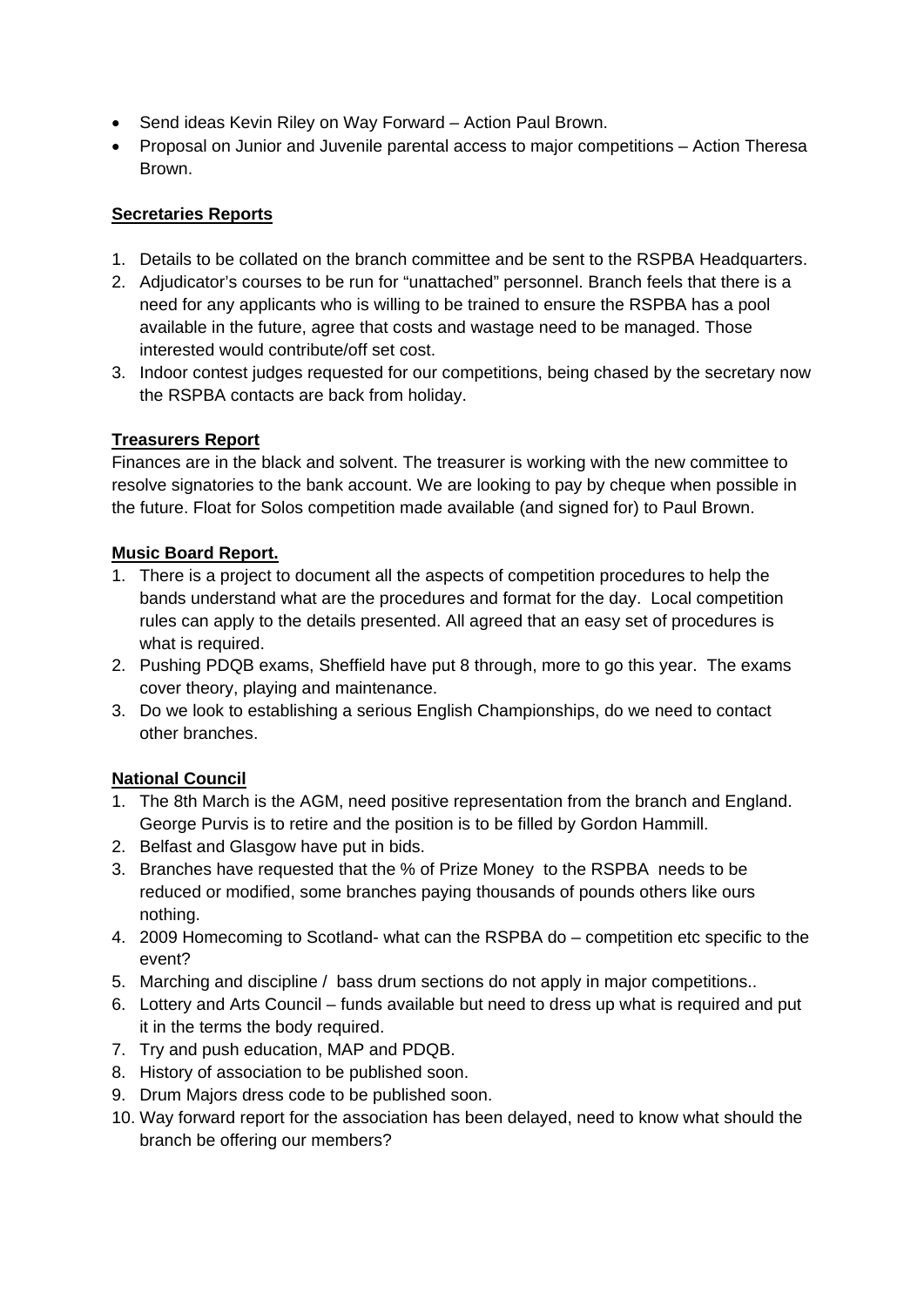- Send ideas Kevin Riley on Way Forward Action Paul Brown.
- Proposal on Junior and Juvenile parental access to major competitions Action Theresa Brown.

### **Secretaries Reports**

- 1. Details to be collated on the branch committee and be sent to the RSPBA Headquarters.
- 2. Adjudicator's courses to be run for "unattached" personnel. Branch feels that there is a need for any applicants who is willing to be trained to ensure the RSPBA has a pool available in the future, agree that costs and wastage need to be managed. Those interested would contribute/off set cost.
- 3. Indoor contest judges requested for our competitions, being chased by the secretary now the RSPBA contacts are back from holiday.

# **Treasurers Report**

Finances are in the black and solvent. The treasurer is working with the new committee to resolve signatories to the bank account. We are looking to pay by cheque when possible in the future. Float for Solos competition made available (and signed for) to Paul Brown.

## **Music Board Report.**

- 1. There is a project to document all the aspects of competition procedures to help the bands understand what are the procedures and format for the day. Local competition rules can apply to the details presented. All agreed that an easy set of procedures is what is required.
- 2. Pushing PDQB exams, Sheffield have put 8 through, more to go this year. The exams cover theory, playing and maintenance.
- 3. Do we look to establishing a serious English Championships, do we need to contact other branches.

# **National Council**

- 1. The 8th March is the AGM, need positive representation from the branch and England. George Purvis is to retire and the position is to be filled by Gordon Hammill.
- 2. Belfast and Glasgow have put in bids.
- 3. Branches have requested that the % of Prize Money to the RSPBA needs to be reduced or modified, some branches paying thousands of pounds others like ours nothing.
- 4. 2009 Homecoming to Scotland- what can the RSPBA do competition etc specific to the event?
- 5. Marching and discipline / bass drum sections do not apply in major competitions..
- 6. Lottery and Arts Council funds available but need to dress up what is required and put it in the terms the body required.
- 7. Try and push education, MAP and PDQB.
- 8. History of association to be published soon.
- 9. Drum Majors dress code to be published soon.
- 10. Way forward report for the association has been delayed, need to know what should the branch be offering our members?